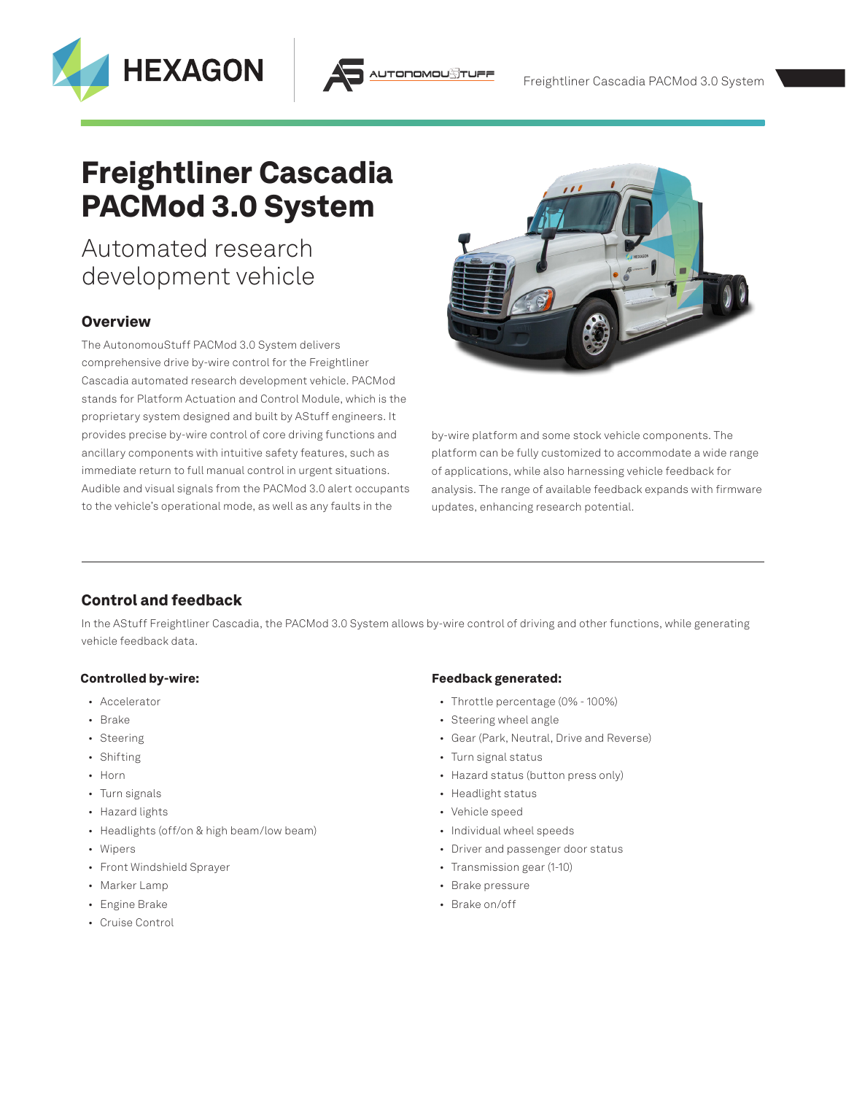



# Automated research development vehicle

**HEXAGON** 

### **Overview**

The AutonomouStuff PACMod 3.0 System delivers comprehensive drive by-wire control for the Freightliner Cascadia automated research development vehicle. PACMod stands for Platform Actuation and Control Module, which is the proprietary system designed and built by AStuff engineers. It provides precise by-wire control of core driving functions and ancillary components with intuitive safety features, such as immediate return to full manual control in urgent situations. Audible and visual signals from the PACMod 3.0 alert occupants to the vehicle's operational mode, as well as any faults in the



by-wire platform and some stock vehicle components. The platform can be fully customized to accommodate a wide range of applications, while also harnessing vehicle feedback for analysis. The range of available feedback expands with firmware updates, enhancing research potential.

# Control and feedback

In the AStuff Freightliner Cascadia, the PACMod 3.0 System allows by-wire control of driving and other functions, while generating vehicle feedback data.

**TODOMOL** 

#### Controlled by-wire:

- Accelerator
- Brake
- Steering
- Shifting
- Horn
- Turn signals
- Hazard lights
- Headlights (off/on & high beam/low beam)
- Wipers
- Front Windshield Sprayer
- Marker Lamp
- Engine Brake
- Cruise Control

#### Feedback generated:

- Throttle percentage (0% 100%)
- Steering wheel angle
- Gear (Park, Neutral, Drive and Reverse)
- Turn signal status
- Hazard status (button press only)
- Headlight status
- Vehicle speed
- Individual wheel speeds
- Driver and passenger door status
- Transmission gear (1-10)
- Brake pressure
- Brake on/off